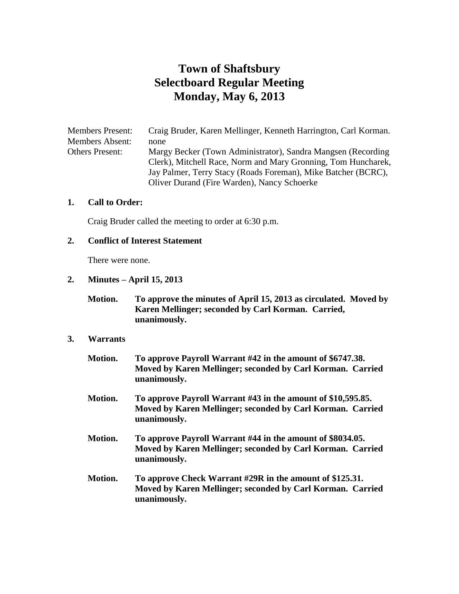# **Town of Shaftsbury Selectboard Regular Meeting Monday, May 6, 2013**

Members Present: Craig Bruder, Karen Mellinger, Kenneth Harrington, Carl Korman. Members Absent: none Others Present: Margy Becker (Town Administrator), Sandra Mangsen (Recording Clerk), Mitchell Race, Norm and Mary Gronning, Tom Huncharek, Jay Palmer, Terry Stacy (Roads Foreman), Mike Batcher (BCRC), Oliver Durand (Fire Warden), Nancy Schoerke

## **1. Call to Order:**

Craig Bruder called the meeting to order at 6:30 p.m.

#### **2. Conflict of Interest Statement**

There were none.

#### **2. Minutes – April 15, 2013**

**Motion. To approve the minutes of April 15, 2013 as circulated. Moved by Karen Mellinger; seconded by Carl Korman. Carried, unanimously.**

#### **3. Warrants**

| Motion. | To approve Payroll Warrant #42 in the amount of \$6747.38.<br>Moved by Karen Mellinger; seconded by Carl Korman. Carried<br>unanimously.   |
|---------|--------------------------------------------------------------------------------------------------------------------------------------------|
| Motion. | To approve Payroll Warrant #43 in the amount of \$10,595.85.<br>Moved by Karen Mellinger; seconded by Carl Korman. Carried<br>unanimously. |
| Motion. | To approve Payroll Warrant #44 in the amount of \$8034.05.<br>Moved by Karen Mellinger; seconded by Carl Korman. Carried<br>unanimously.   |
| Motion. | To approve Check Warrant #29R in the amount of \$125.31.<br>Moved by Karen Mellinger; seconded by Carl Korman. Carried<br>unanimously.     |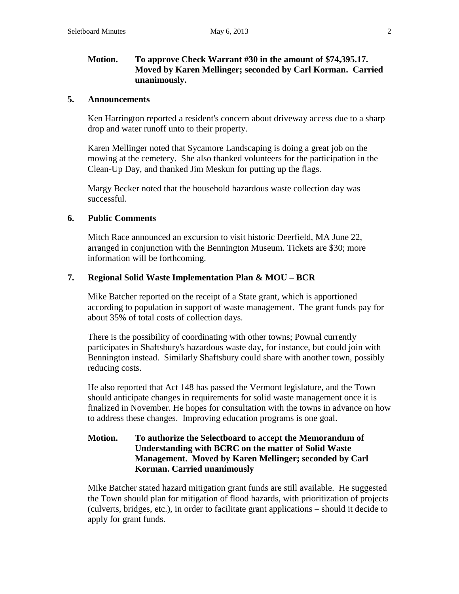# **Motion. To approve Check Warrant #30 in the amount of \$74,395.17. Moved by Karen Mellinger; seconded by Carl Korman. Carried unanimously.**

#### **5. Announcements**

Ken Harrington reported a resident's concern about driveway access due to a sharp drop and water runoff unto to their property.

Karen Mellinger noted that Sycamore Landscaping is doing a great job on the mowing at the cemetery. She also thanked volunteers for the participation in the Clean-Up Day, and thanked Jim Meskun for putting up the flags.

Margy Becker noted that the household hazardous waste collection day was successful.

#### **6. Public Comments**

Mitch Race announced an excursion to visit historic Deerfield, MA June 22, arranged in conjunction with the Bennington Museum. Tickets are \$30; more information will be forthcoming.

#### **7. Regional Solid Waste Implementation Plan & MOU – BCR**

Mike Batcher reported on the receipt of a State grant, which is apportioned according to population in support of waste management. The grant funds pay for about 35% of total costs of collection days.

There is the possibility of coordinating with other towns; Pownal currently participates in Shaftsbury's hazardous waste day, for instance, but could join with Bennington instead. Similarly Shaftsbury could share with another town, possibly reducing costs.

He also reported that Act 148 has passed the Vermont legislature, and the Town should anticipate changes in requirements for solid waste management once it is finalized in November. He hopes for consultation with the towns in advance on how to address these changes. Improving education programs is one goal.

# **Motion. To authorize the Selectboard to accept the Memorandum of Understanding with BCRC on the matter of Solid Waste Management. Moved by Karen Mellinger; seconded by Carl Korman. Carried unanimously**

Mike Batcher stated hazard mitigation grant funds are still available. He suggested the Town should plan for mitigation of flood hazards, with prioritization of projects (culverts, bridges, etc.), in order to facilitate grant applications – should it decide to apply for grant funds.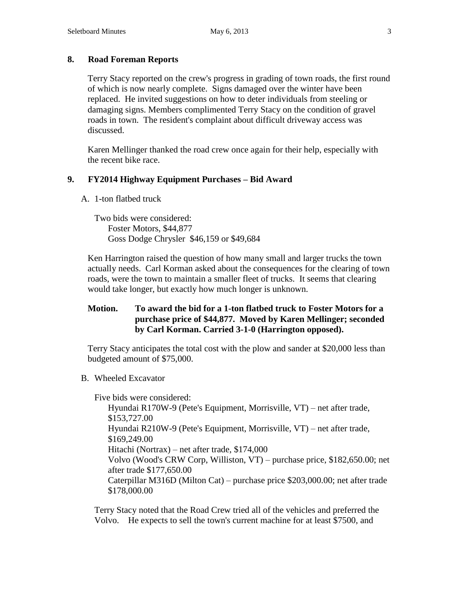# **8. Road Foreman Reports**

Terry Stacy reported on the crew's progress in grading of town roads, the first round of which is now nearly complete. Signs damaged over the winter have been replaced. He invited suggestions on how to deter individuals from steeling or damaging signs. Members complimented Terry Stacy on the condition of gravel roads in town. The resident's complaint about difficult driveway access was discussed.

Karen Mellinger thanked the road crew once again for their help, especially with the recent bike race.

### **9. FY2014 Highway Equipment Purchases – Bid Award**

A. 1-ton flatbed truck

Two bids were considered: Foster Motors, \$44,877 Goss Dodge Chrysler \$46,159 or \$49,684

Ken Harrington raised the question of how many small and larger trucks the town actually needs. Carl Korman asked about the consequences for the clearing of town roads, were the town to maintain a smaller fleet of trucks. It seems that clearing would take longer, but exactly how much longer is unknown.

# **Motion. To award the bid for a 1-ton flatbed truck to Foster Motors for a purchase price of \$44,877. Moved by Karen Mellinger; seconded by Carl Korman. Carried 3-1-0 (Harrington opposed).**

Terry Stacy anticipates the total cost with the plow and sander at \$20,000 less than budgeted amount of \$75,000.

B. Wheeled Excavator

Five bids were considered:

Hyundai R170W-9 (Pete's Equipment, Morrisville, VT) – net after trade, \$153,727.00 Hyundai R210W-9 (Pete's Equipment, Morrisville, VT) – net after trade, \$169,249.00 Hitachi (Nortrax) – net after trade, \$174,000 Volvo (Wood's CRW Corp, Williston, VT) – purchase price, \$182,650.00; net after trade \$177,650.00 Caterpillar M316D (Milton Cat) – purchase price \$203,000.00; net after trade \$178,000.00

Terry Stacy noted that the Road Crew tried all of the vehicles and preferred the Volvo. He expects to sell the town's current machine for at least \$7500, and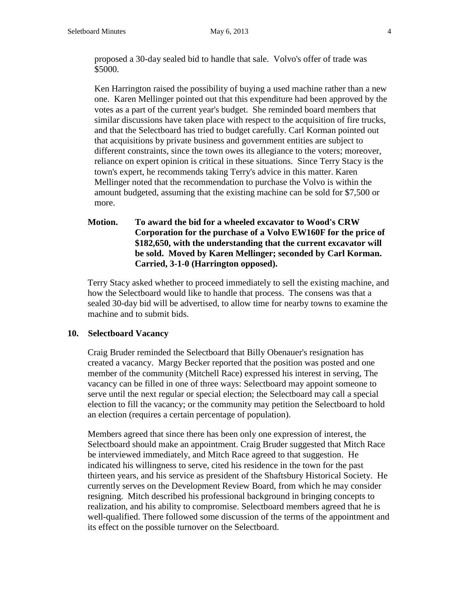proposed a 30-day sealed bid to handle that sale. Volvo's offer of trade was \$5000.

Ken Harrington raised the possibility of buying a used machine rather than a new one. Karen Mellinger pointed out that this expenditure had been approved by the votes as a part of the current year's budget. She reminded board members that similar discussions have taken place with respect to the acquisition of fire trucks, and that the Selectboard has tried to budget carefully. Carl Korman pointed out that acquisitions by private business and government entities are subject to different constraints, since the town owes its allegiance to the voters; moreover, reliance on expert opinion is critical in these situations. Since Terry Stacy is the town's expert, he recommends taking Terry's advice in this matter. Karen Mellinger noted that the recommendation to purchase the Volvo is within the amount budgeted, assuming that the existing machine can be sold for \$7,500 or more.

**Motion. To award the bid for a wheeled excavator to Wood's CRW Corporation for the purchase of a Volvo EW160F for the price of \$182,650, with the understanding that the current excavator will be sold. Moved by Karen Mellinger; seconded by Carl Korman. Carried, 3-1-0 (Harrington opposed).**

Terry Stacy asked whether to proceed immediately to sell the existing machine, and how the Selectboard would like to handle that process. The consens was that a sealed 30-day bid will be advertised, to allow time for nearby towns to examine the machine and to submit bids.

### **10. Selectboard Vacancy**

Craig Bruder reminded the Selectboard that Billy Obenauer's resignation has created a vacancy. Margy Becker reported that the position was posted and one member of the community (Mitchell Race) expressed his interest in serving, The vacancy can be filled in one of three ways: Selectboard may appoint someone to serve until the next regular or special election; the Selectboard may call a special election to fill the vacancy; or the community may petition the Selectboard to hold an election (requires a certain percentage of population).

Members agreed that since there has been only one expression of interest, the Selectboard should make an appointment. Craig Bruder suggested that Mitch Race be interviewed immediately, and Mitch Race agreed to that suggestion. He indicated his willingness to serve, cited his residence in the town for the past thirteen years, and his service as president of the Shaftsbury Historical Society. He currently serves on the Development Review Board, from which he may consider resigning. Mitch described his professional background in bringing concepts to realization, and his ability to compromise. Selectboard members agreed that he is well-qualified. There followed some discussion of the terms of the appointment and its effect on the possible turnover on the Selectboard.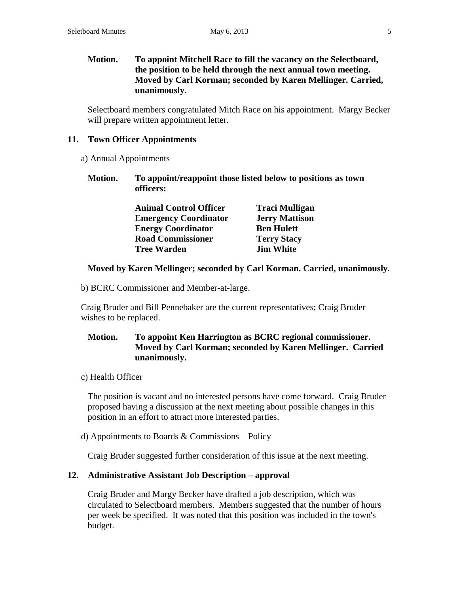# **Motion. To appoint Mitchell Race to fill the vacancy on the Selectboard, the position to be held through the next annual town meeting. Moved by Carl Korman; seconded by Karen Mellinger. Carried, unanimously.**

Selectboard members congratulated Mitch Race on his appointment. Margy Becker will prepare written appointment letter.

## **11. Town Officer Appointments**

- a) Annual Appointments
	- **Motion. To appoint/reappoint those listed below to positions as town officers:**

| <b>Animal Control Officer</b> | <b>Traci Mulligan</b> |
|-------------------------------|-----------------------|
| <b>Emergency Coordinator</b>  | <b>Jerry Mattison</b> |
| <b>Energy Coordinator</b>     | <b>Ben Hulett</b>     |
| <b>Road Commissioner</b>      | <b>Terry Stacy</b>    |
| <b>Tree Warden</b>            | <b>Jim White</b>      |

# **Moved by Karen Mellinger; seconded by Carl Korman. Carried, unanimously.**

b) BCRC Commissioner and Member-at-large.

Craig Bruder and Bill Pennebaker are the current representatives; Craig Bruder wishes to be replaced.

# **Motion. To appoint Ken Harrington as BCRC regional commissioner. Moved by Carl Korman; seconded by Karen Mellinger. Carried unanimously.**

c) Health Officer

The position is vacant and no interested persons have come forward. Craig Bruder proposed having a discussion at the next meeting about possible changes in this position in an effort to attract more interested parties.

d) Appointments to Boards  $&$  Commissions – Policy

Craig Bruder suggested further consideration of this issue at the next meeting.

# **12. Administrative Assistant Job Description – approval**

Craig Bruder and Margy Becker have drafted a job description, which was circulated to Selectboard members. Members suggested that the number of hours per week be specified. It was noted that this position was included in the town's budget.